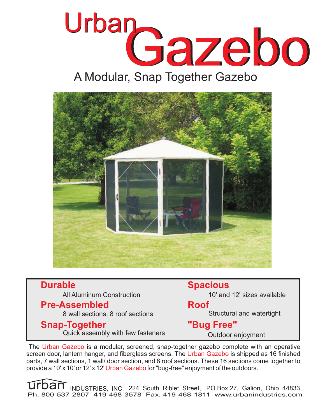



## **Durable**

All Aluminum Construction

#### **Pre-Assembled**

8 wall sections, 8 roof sections

### **Snap-Together**

Quick assembly with few fasteners

**Spacious**

10' and 12' sizes available

#### **Roof**

Structural and watertight

# **"Bug Free"**

Outdoor enjoyment

The Urban Gazebo is a modular, screened, snap-together gazebo complete with an operative screen door, lantern hanger, and fiberglass screens. The Urban Gazebo is shipped as 16 finished parts, 7 wall sections, 1 wall/ door section, and 8 roof sections. These 16 sections come together to provide a 10' x 10' or 12' x 12' Urban Gazebo for "bug-free" enjoyment of the outdoors.

Urban INDUSTRIES, INC. 224 South Riblet Street, PO Box 27, Galion, Ohio 44833 Ph. 800-537-2807 419-468-3578 Fax. 419-468-1811 www.urbanindustries.com